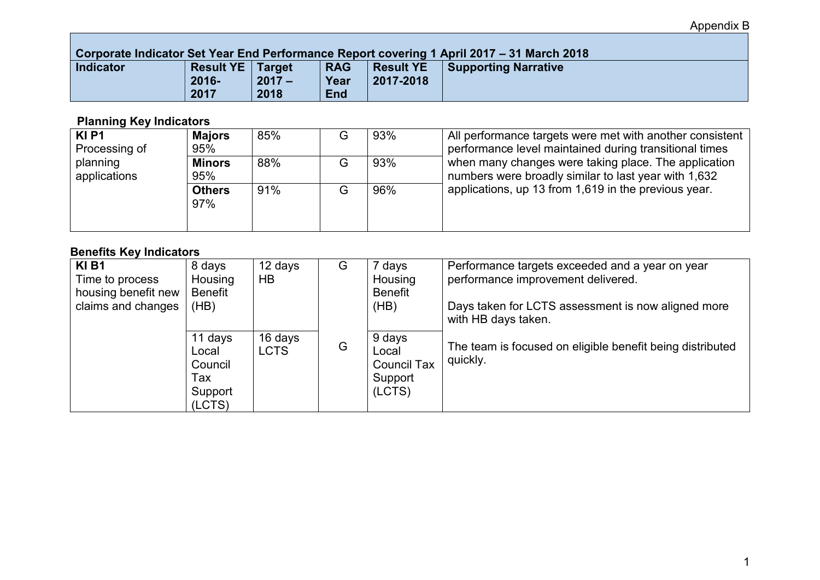### **Corporate Indicator Set Year End Performance Report covering 1 April 2017 – 31 March 2018**

| <u>s sin sinis ilimidalel ool toal mila i siloliikiise tispoll sotoliila ti kriitmetti.</u> |                           |          |            |                  | _________________           |
|---------------------------------------------------------------------------------------------|---------------------------|----------|------------|------------------|-----------------------------|
| Indicator                                                                                   | <b>Result YE   Target</b> |          | <b>RAG</b> | <b>Result YE</b> | <b>Supporting Narrative</b> |
|                                                                                             | $2016 -$                  | $2017 -$ | Year       | 2017-2018        |                             |
|                                                                                             | 2017                      | 2018     | <b>End</b> |                  |                             |

## **Planning Key Indicators**

| KI <sub>P1</sub><br>Processing of | <b>Majors</b><br>95% | 85% | G | 93% | All performance targets were met with another consistent<br>performance level maintained during transitional times |
|-----------------------------------|----------------------|-----|---|-----|--------------------------------------------------------------------------------------------------------------------|
| planning<br>applications          | <b>Minors</b><br>95% | 88% | G | 93% | when many changes were taking place. The application<br>numbers were broadly similar to last year with 1,632       |
|                                   | <b>Others</b><br>97% | 91% | G | 96% | applications, up 13 from 1,619 in the previous year.                                                               |

## **Benefits Key Indicators**

| KIB1<br>Time to process<br>housing benefit new<br>claims and changes | 8 days<br>Housing<br><b>Benefit</b><br>(HB)             | 12 days<br>HB          | G | 7 days<br>Housing<br><b>Benefit</b><br>(HB)                | Performance targets exceeded and a year on year<br>performance improvement delivered.<br>Days taken for LCTS assessment is now aligned more<br>with HB days taken. |
|----------------------------------------------------------------------|---------------------------------------------------------|------------------------|---|------------------------------------------------------------|--------------------------------------------------------------------------------------------------------------------------------------------------------------------|
|                                                                      | 11 days<br>Local<br>Council<br>Tax<br>Support<br>(LCTS) | 16 days<br><b>LCTS</b> | G | 9 days<br>Local<br><b>Council Tax</b><br>Support<br>(LCTS) | The team is focused on eligible benefit being distributed<br>quickly.                                                                                              |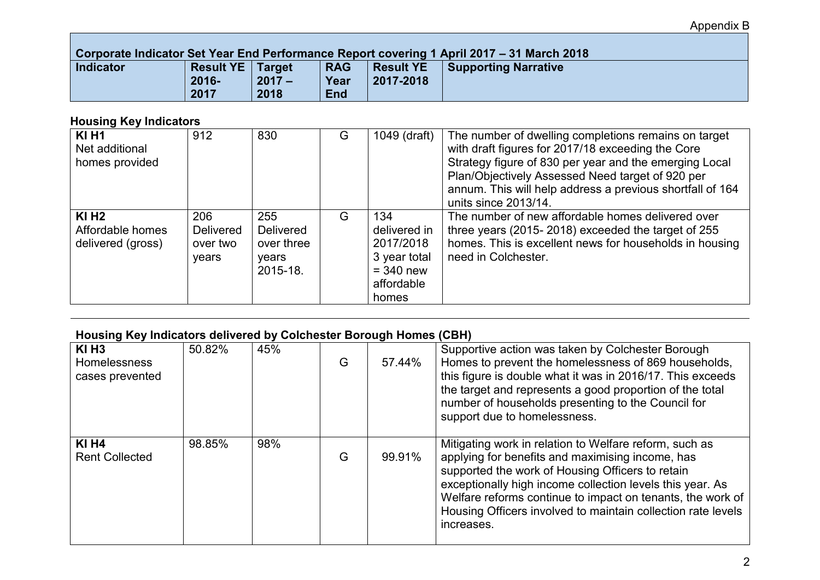### **Corporate Indicator Set Year End Performance Report covering 1 April 2017 – 31 March 2018**

| <b>POINT IN THE TERM ON THE REAL PROPERTY IN THE REAL PROPERTY IN THE REAL PROPERTY</b> |                           |          |            |                  |                             |  |  |  |
|-----------------------------------------------------------------------------------------|---------------------------|----------|------------|------------------|-----------------------------|--|--|--|
| Indicator                                                                               | <b>Result YE   Target</b> |          | <b>RAG</b> | <b>Result YE</b> | <b>Supporting Narrative</b> |  |  |  |
|                                                                                         | $2016 -$                  | $2017 -$ | Year       | 2017-2018        |                             |  |  |  |
|                                                                                         | 2017                      | 2018     | <b>End</b> |                  |                             |  |  |  |

# **Housing Key Indicators**

| <b>KI H1</b><br>Net additional<br>homes provided             | 912                                          | 830                                                        | G | 1049 (draft)                                                                           | The number of dwelling completions remains on target<br>with draft figures for 2017/18 exceeding the Core<br>Strategy figure of 830 per year and the emerging Local<br>Plan/Objectively Assessed Need target of 920 per<br>annum. This will help address a previous shortfall of 164<br>units since 2013/14. |
|--------------------------------------------------------------|----------------------------------------------|------------------------------------------------------------|---|----------------------------------------------------------------------------------------|--------------------------------------------------------------------------------------------------------------------------------------------------------------------------------------------------------------------------------------------------------------------------------------------------------------|
| $KI$ H <sub>2</sub><br>Affordable homes<br>delivered (gross) | 206<br><b>Delivered</b><br>over two<br>years | 255<br><b>Delivered</b><br>over three<br>years<br>2015-18. | G | 134<br>delivered in<br>2017/2018<br>3 year total<br>$=$ 340 new<br>affordable<br>homes | The number of new affordable homes delivered over<br>three years (2015-2018) exceeded the target of 255<br>homes. This is excellent news for households in housing<br>need in Colchester.                                                                                                                    |

# **Housing Key Indicators delivered by Colchester Borough Homes (CBH)**

| $KI$ H <sub>3</sub><br><b>Homelessness</b><br>cases prevented | 50.82% | 45% | G | 57.44% | Supportive action was taken by Colchester Borough<br>Homes to prevent the homelessness of 869 households,<br>this figure is double what it was in 2016/17. This exceeds<br>the target and represents a good proportion of the total<br>number of households presenting to the Council for<br>support due to homelessness.                                               |
|---------------------------------------------------------------|--------|-----|---|--------|-------------------------------------------------------------------------------------------------------------------------------------------------------------------------------------------------------------------------------------------------------------------------------------------------------------------------------------------------------------------------|
| <b>KI H4</b><br><b>Rent Collected</b>                         | 98.85% | 98% | G | 99.91% | Mitigating work in relation to Welfare reform, such as<br>applying for benefits and maximising income, has<br>supported the work of Housing Officers to retain<br>exceptionally high income collection levels this year. As<br>Welfare reforms continue to impact on tenants, the work of<br>Housing Officers involved to maintain collection rate levels<br>increases. |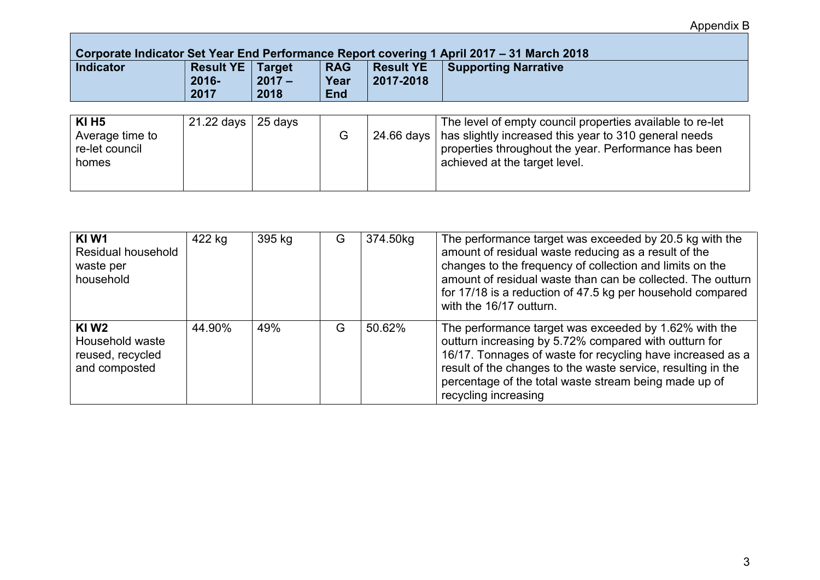## **Corporate Indicator Set Year End Performance Report covering 1 April 2017 – 31 March 2018**

| <b>Indicator</b><br><b>Result YE   Target</b><br><b>RAG</b><br>Result YE<br><b>Supporting Narrative</b><br>$2016 -$<br>2017-2018<br>$2017 -$<br>Year<br>2017<br>2018<br><b>End</b> |
|------------------------------------------------------------------------------------------------------------------------------------------------------------------------------------|
|------------------------------------------------------------------------------------------------------------------------------------------------------------------------------------|

| <b>KI H5</b><br>Average time to<br>re-let council<br>homes | 21.22 days | 25 days |  |  | The level of empty council properties available to re-let<br>24.66 days   has slightly increased this year to 310 general needs<br>properties throughout the year. Performance has been<br>achieved at the target level. |
|------------------------------------------------------------|------------|---------|--|--|--------------------------------------------------------------------------------------------------------------------------------------------------------------------------------------------------------------------------|
|------------------------------------------------------------|------------|---------|--|--|--------------------------------------------------------------------------------------------------------------------------------------------------------------------------------------------------------------------------|

| KI W1<br>Residual household<br>waste per<br>household                    | 422 kg | 395 kg | G | 374.50kg | The performance target was exceeded by 20.5 kg with the<br>amount of residual waste reducing as a result of the<br>changes to the frequency of collection and limits on the<br>amount of residual waste than can be collected. The outturn<br>for 17/18 is a reduction of 47.5 kg per household compared<br>with the 16/17 outturn. |
|--------------------------------------------------------------------------|--------|--------|---|----------|-------------------------------------------------------------------------------------------------------------------------------------------------------------------------------------------------------------------------------------------------------------------------------------------------------------------------------------|
| KIW <sub>2</sub><br>Household waste<br>reused, recycled<br>and composted | 44.90% | 49%    | G | 50.62%   | The performance target was exceeded by 1.62% with the<br>outturn increasing by 5.72% compared with outturn for<br>16/17. Tonnages of waste for recycling have increased as a<br>result of the changes to the waste service, resulting in the<br>percentage of the total waste stream being made up of<br>recycling increasing       |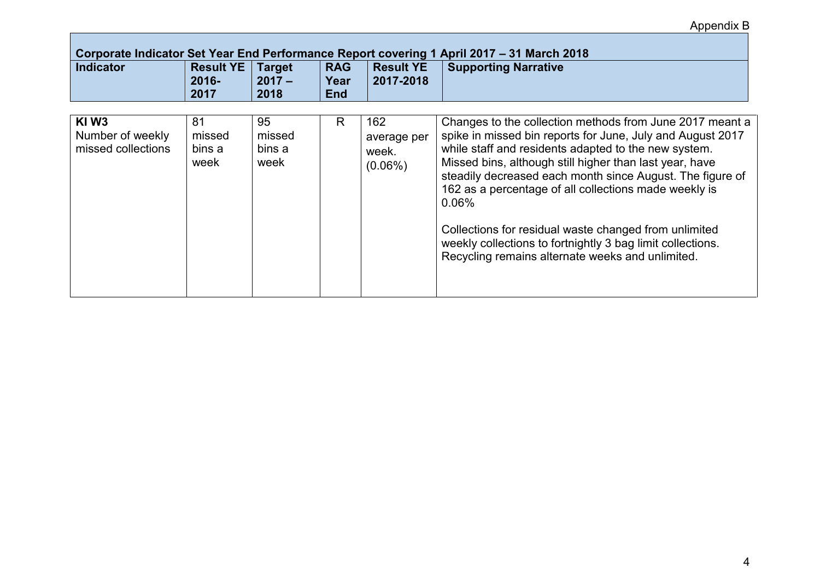| Corporate Indicator Set Year End Performance Report covering 1 April 2017 - 31 March 2018 |                                      |                                   |                                  |                                           |                                                                                                                                                                                                                                                                                                                                                                                                                                                                                                                                                        |  |  |
|-------------------------------------------------------------------------------------------|--------------------------------------|-----------------------------------|----------------------------------|-------------------------------------------|--------------------------------------------------------------------------------------------------------------------------------------------------------------------------------------------------------------------------------------------------------------------------------------------------------------------------------------------------------------------------------------------------------------------------------------------------------------------------------------------------------------------------------------------------------|--|--|
| <b>Indicator</b>                                                                          | <b>Result YE</b><br>$2016 -$<br>2017 | <b>Target</b><br>$2017 -$<br>2018 | <b>RAG</b><br>Year<br><b>End</b> | <b>Result YE</b><br>2017-2018             | <b>Supporting Narrative</b>                                                                                                                                                                                                                                                                                                                                                                                                                                                                                                                            |  |  |
| KIW <sub>3</sub><br>Number of weekly<br>missed collections                                | 81<br>missed<br>bins a<br>week       | 95<br>missed<br>bins a<br>week    | R.                               | 162<br>average per<br>week.<br>$(0.06\%)$ | Changes to the collection methods from June 2017 meant a<br>spike in missed bin reports for June, July and August 2017<br>while staff and residents adapted to the new system.<br>Missed bins, although still higher than last year, have<br>steadily decreased each month since August. The figure of<br>162 as a percentage of all collections made weekly is<br>$0.06\%$<br>Collections for residual waste changed from unlimited<br>weekly collections to fortnightly 3 bag limit collections.<br>Recycling remains alternate weeks and unlimited. |  |  |